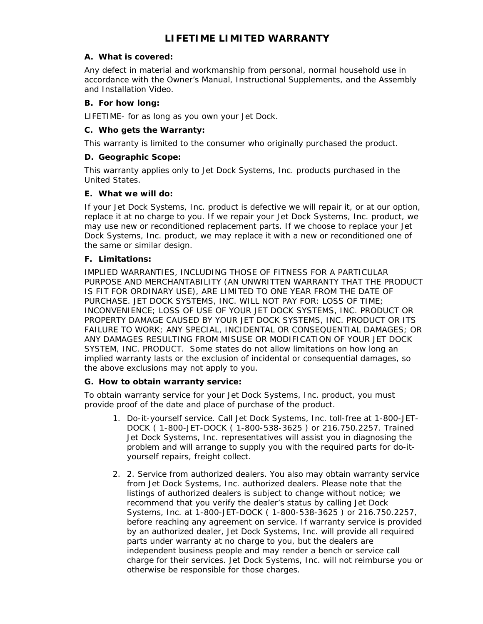# **LIFETIME LIMITED WARRANTY**

#### **A. What is covered:**

Any defect in material and workmanship from personal, normal household use in accordance with the Owner's Manual, Instructional Supplements, and the Assembly and Installation Video.

#### **B. For how long:**

LIFETIME- for as long as you own your Jet Dock.

#### **C. Who gets the Warranty:**

This warranty is limited to the consumer who originally purchased the product.

#### **D. Geographic Scope:**

This warranty applies only to Jet Dock Systems, Inc. products purchased in the United States.

#### **E. What we will do:**

If your Jet Dock Systems, Inc. product is defective we will repair it, or at our option, replace it at no charge to you. If we repair your Jet Dock Systems, Inc. product, we may use new or reconditioned replacement parts. If we choose to replace your Jet Dock Systems, Inc. product, we may replace it with a new or reconditioned one of the same or similar design.

#### **F. Limitations:**

IMPLIED WARRANTIES, INCLUDING THOSE OF FITNESS FOR A PARTICULAR PURPOSE AND MERCHANTABILITY (AN UNWRITTEN WARRANTY THAT THE PRODUCT IS FIT FOR ORDINARY USE), ARE LIMITED TO ONE YEAR FROM THE DATE OF PURCHASE. JET DOCK SYSTEMS, INC. WILL NOT PAY FOR: LOSS OF TIME; INCONVENIENCE; LOSS OF USE OF YOUR JET DOCK SYSTEMS, INC. PRODUCT OR PROPERTY DAMAGE CAUSED BY YOUR JET DOCK SYSTEMS, INC. PRODUCT OR ITS FAILURE TO WORK; ANY SPECIAL, INCIDENTAL OR CONSEQUENTIAL DAMAGES; OR ANY DAMAGES RESULTING FROM MISUSE OR MODIFICATION OF YOUR JET DOCK SYSTEM, INC. PRODUCT. Some states do not allow limitations on how long an implied warranty lasts or the exclusion of incidental or consequential damages, so the above exclusions may not apply to you.

## **G. How to obtain warranty service:**

To obtain warranty service for your Jet Dock Systems, Inc. product, you must provide proof of the date and place of purchase of the product.

- 1. Do-it-yourself service. Call Jet Dock Systems, Inc. toll-free at 1-800-JET-DOCK ( 1-800-JET-DOCK ( 1-800-538-3625 ) or 216.750.2257. Trained Jet Dock Systems, Inc. representatives will assist you in diagnosing the problem and will arrange to supply you with the required parts for do-ityourself repairs, freight collect.
- 2. 2. Service from authorized dealers. You also may obtain warranty service from Jet Dock Systems, Inc. authorized dealers. Please note that the listings of authorized dealers is subject to change without notice; we recommend that you verify the dealer's status by calling Jet Dock Systems, Inc. at 1-800-JET-DOCK ( 1-800-538-3625 ) or 216.750.2257, before reaching any agreement on service. If warranty service is provided by an authorized dealer, Jet Dock Systems, Inc. will provide all required parts under warranty at no charge to you, but the dealers are independent business people and may render a bench or service call charge for their services. Jet Dock Systems, Inc. will not reimburse you or otherwise be responsible for those charges.